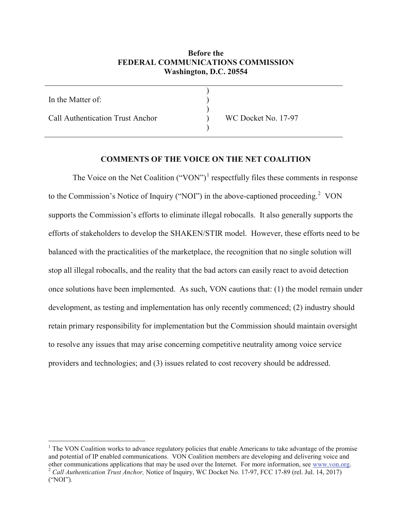## **Before the FEDERAL COMMUNICATIONS COMMISSION Washington, D.C. 20554**

) ) )

)

In the Matter of:

Call Authentication Trust Anchor

)WC Docket No. 17-97

## **COMMENTS OF THE VOICE ON THE NET COALITION**

The Voice on the Net Coalition ("VON")<sup>[1](#page-0-0)</sup> respectfully files these comments in response to the Commission's Notice of Inquiry ("NOI") in the above-captioned proceeding.<sup>[2](#page-0-1)</sup> VON supports the Commission's efforts to eliminate illegal robocalls. It also generally supports the efforts of stakeholders to develop the SHAKEN/STIR model. However, these efforts need to be balanced with the practicalities of the marketplace, the recognition that no single solution will stop all illegal robocalls, and the reality that the bad actors can easily react to avoid detection once solutions have been implemented. As such, VON cautions that: (1) the model remain under development, as testing and implementation has only recently commenced; (2) industry should retain primary responsibility for implementation but the Commission should maintain oversight to resolve any issues that may arise concerning competitive neutrality among voice service providers and technologies; and (3) issues related to cost recovery should be addressed.

<span id="page-0-1"></span><span id="page-0-0"></span> $<sup>1</sup>$  The VON Coalition works to advance regulatory policies that enable Americans to take advantage of the promise</sup> and potential of IP enabled communications. VON Coalition members are developing and delivering voice and other communications applications that may be used over the Internet. For more information, see [www.von.org.](http://www.von.org/)<sup>2</sup> *Call Authentication Trust Anchor*, Notice of Inquiry, WC Docket No. 17-97, FCC 17-89 (rel. Jul. 14, 2017) ("NOI").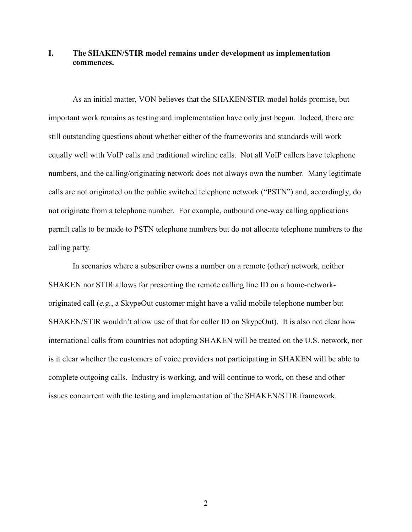# **I. The SHAKEN/STIR model remains under development as implementation commences.**

As an initial matter, VON believes that the SHAKEN/STIR model holds promise, but important work remains as testing and implementation have only just begun. Indeed, there are still outstanding questions about whether either of the frameworks and standards will work equally well with VoIP calls and traditional wireline calls. Not all VoIP callers have telephone numbers, and the calling/originating network does not always own the number. Many legitimate calls are not originated on the public switched telephone network ("PSTN") and, accordingly, do not originate from a telephone number. For example, outbound one-way calling applications permit calls to be made to PSTN telephone numbers but do not allocate telephone numbers to the calling party.

In scenarios where a subscriber owns a number on a remote (other) network, neither SHAKEN nor STIR allows for presenting the remote calling line ID on a home-networkoriginated call (*e.g.*, a SkypeOut customer might have a valid mobile telephone number but SHAKEN/STIR wouldn't allow use of that for caller ID on SkypeOut). It is also not clear how international calls from countries not adopting SHAKEN will be treated on the U.S. network, nor is it clear whether the customers of voice providers not participating in SHAKEN will be able to complete outgoing calls. Industry is working, and will continue to work, on these and other issues concurrent with the testing and implementation of the SHAKEN/STIR framework.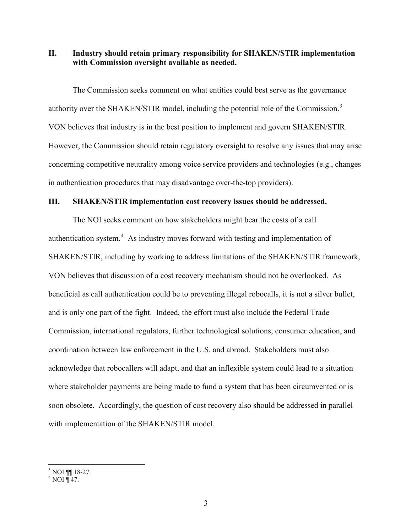**II. Industry should retain primary responsibility for SHAKEN/STIR implementation with Commission oversight available as needed.**

The Commission seeks comment on what entities could best serve as the governance authority over the SHAKEN/STIR model, including the potential role of the Commission.<sup>[3](#page-2-0)</sup> VON believes that industry is in the best position to implement and govern SHAKEN/STIR. However, the Commission should retain regulatory oversight to resolve any issues that may arise concerning competitive neutrality among voice service providers and technologies (e.g., changes in authentication procedures that may disadvantage over-the-top providers).

#### **III. SHAKEN/STIR implementation cost recovery issues should be addressed.**

The NOI seeks comment on how stakeholders might bear the costs of a call authentication system.<sup>[4](#page-2-1)</sup> As industry moves forward with testing and implementation of SHAKEN/STIR, including by working to address limitations of the SHAKEN/STIR framework, VON believes that discussion of a cost recovery mechanism should not be overlooked. As beneficial as call authentication could be to preventing illegal robocalls, it is not a silver bullet, and is only one part of the fight. Indeed, the effort must also include the Federal Trade Commission, international regulators, further technological solutions, consumer education, and coordination between law enforcement in the U.S. and abroad. Stakeholders must also acknowledge that robocallers will adapt, and that an inflexible system could lead to a situation where stakeholder payments are being made to fund a system that has been circumvented or is soon obsolete. Accordingly, the question of cost recovery also should be addressed in parallel with implementation of the SHAKEN/STIR model.

<span id="page-2-0"></span> $\frac{3}{4}$  NOI ¶ 18-27.<br> $\frac{4}{4}$  NOI ¶ 47.

<span id="page-2-1"></span>